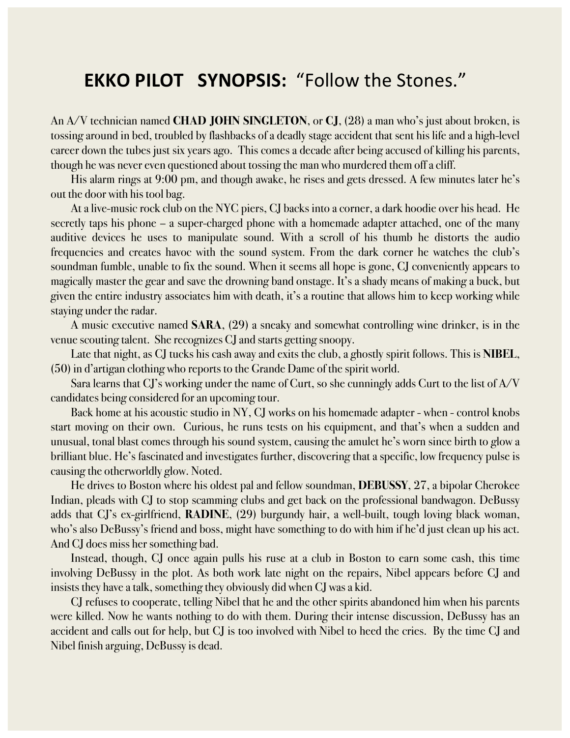## **EKKO PILOT SYNOPSIS: "Follow the Stones."**

An A/V technician named **CHAD JOHN SINGLETON**, or **CJ**, (28) a man who's just about broken, is tossing around in bed, troubled by flashbacks of a deadly stage accident that sent his life and a high-level career down the tubes just six years ago. This comes a decade after being accused of killing his parents, though he was never even questioned about tossing the man who murdered them off a cliff.

His alarm rings at 9:00 pm, and though awake, he rises and gets dressed. A few minutes later he's out the door with his tool bag.

At a live-music rock club on the NYC piers, CJ backs into a corner, a dark hoodie over his head. He secretly taps his phone – a super-charged phone with a homemade adapter attached, one of the many auditive devices he uses to manipulate sound. With a scroll of his thumb he distorts the audio frequencies and creates havoc with the sound system. From the dark corner he watches the club's soundman fumble, unable to fix the sound. When it seems all hope is gone, CJ conveniently appears to magically master the gear and save the drowning band onstage. It's a shady means of making a buck, but given the entire industry associates him with death, it's a routine that allows him to keep working while staying under the radar.

A music executive named **SARA**, (29) a sneaky and somewhat controlling wine drinker, is in the venue scouting talent. She recognizes CJ and starts getting snoopy.

Late that night, as CJ tucks his cash away and exits the club, a ghostly spirit follows. This is **NIBEL**, (50) in d'artigan clothing who reports to the Grande Dame of the spirit world.

Sara learns that CJ's working under the name of Curt, so she cunningly adds Curt to the list of A/V candidates being considered for an upcoming tour.

Back home at his acoustic studio in NY, CJ works on his homemade adapter - when - control knobs start moving on their own. Curious, he runs tests on his equipment, and that's when a sudden and unusual, tonal blast comes through his sound system, causing the amulet he's worn since birth to glow a brilliant blue. He's fascinated and investigates further, discovering that a specific, low frequency pulse is causing the otherworldly glow. Noted.

He drives to Boston where his oldest pal and fellow soundman, **DEBUSSY**, 27, a bipolar Cherokee Indian, pleads with CJ to stop scamming clubs and get back on the professional bandwagon. DeBussy adds that CJ's ex-girlfriend, **RADINE**, (29) burgundy hair, a well-built, tough loving black woman, who's also DeBussy's friend and boss, might have something to do with him if he'd just clean up his act. And CJ does miss her something bad.

Instead, though, CJ once again pulls his ruse at a club in Boston to earn some cash, this time involving DeBussy in the plot. As both work late night on the repairs, Nibel appears before CJ and insists they have a talk, something they obviously did when CJ was a kid.

CJ refuses to cooperate, telling Nibel that he and the other spirits abandoned him when his parents were killed. Now he wants nothing to do with them. During their intense discussion, DeBussy has an accident and calls out for help, but CJ is too involved with Nibel to heed the cries. By the time CJ and Nibel finish arguing, DeBussy is dead.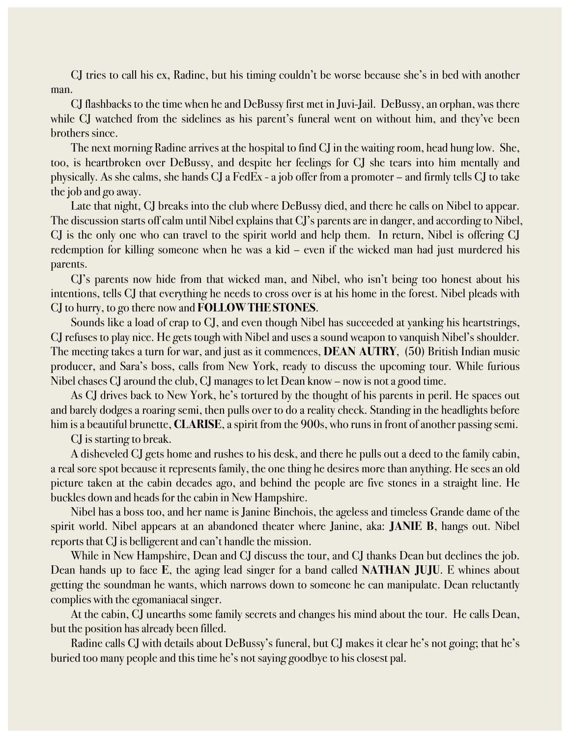CJ tries to call his ex, Radine, but his timing couldn't be worse because she's in bed with another man.

CJ flashbacks to the time when he and DeBussy first met in Juvi-Jail. DeBussy, an orphan, was there while CJ watched from the sidelines as his parent's funeral went on without him, and they've been brothers since.

The next morning Radine arrives at the hospital to find CJ in the waiting room, head hung low. She, too, is heartbroken over DeBussy, and despite her feelings for CJ she tears into him mentally and physically. As she calms, she hands CJ a FedEx - a job offer from a promoter – and firmly tells CJ to take the job and go away.

Late that night, CJ breaks into the club where DeBussy died, and there he calls on Nibel to appear. The discussion starts off calm until Nibel explains that CJ's parents are in danger, and according to Nibel, CJ is the only one who can travel to the spirit world and help them. In return, Nibel is offering CJ redemption for killing someone when he was a kid – even if the wicked man had just murdered his parents.

CJ's parents now hide from that wicked man, and Nibel, who isn't being too honest about his intentions, tells CJ that everything he needs to cross over is at his home in the forest. Nibel pleads with CJ to hurry, to go there now and **FOLLOW THE STONES**.

Sounds like a load of crap to CJ, and even though Nibel has succeeded at yanking his heartstrings, CJ refuses to play nice. He gets tough with Nibel and uses a sound weapon to vanquish Nibel's shoulder. The meeting takes a turn for war, and just as it commences, **DEAN AUTRY**, (50) British Indian music producer, and Sara's boss, calls from New York, ready to discuss the upcoming tour. While furious Nibel chases CJ around the club, CJ manages to let Dean know – now is not a good time.

As CJ drives back to New York, he's tortured by the thought of his parents in peril. He spaces out and barely dodges a roaring semi, then pulls over to do a reality check. Standing in the headlights before him is a beautiful brunette, **CLARISE**, a spirit from the 900s, who runs in front of another passing semi.

CJ is starting to break.

A disheveled CJ gets home and rushes to his desk, and there he pulls out a deed to the family cabin, a real sore spot because it represents family, the one thing he desires more than anything. He sees an old picture taken at the cabin decades ago, and behind the people are five stones in a straight line. He buckles down and heads for the cabin in New Hampshire.

Nibel has a boss too, and her name is Janine Binchois, the ageless and timeless Grande dame of the spirit world. Nibel appears at an abandoned theater where Janine, aka: **JANIE B**, hangs out. Nibel reports that CJ is belligerent and can't handle the mission.

While in New Hampshire, Dean and CJ discuss the tour, and CJ thanks Dean but declines the job. Dean hands up to face **E**, the aging lead singer for a band called **NATHAN JUJU**. E whines about getting the soundman he wants, which narrows down to someone he can manipulate. Dean reluctantly complies with the egomaniacal singer.

At the cabin, CJ unearths some family secrets and changes his mind about the tour. He calls Dean, but the position has already been filled.

Radine calls CJ with details about DeBussy's funeral, but CJ makes it clear he's not going; that he's buried too many people and this time he's not saying goodbye to his closest pal.